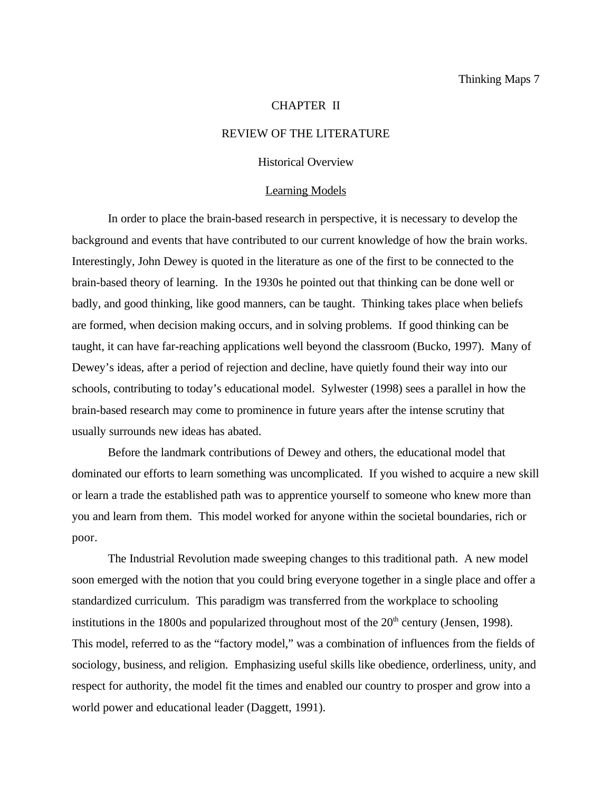#### CHAPTER II

# REVIEW OF THE LITERATURE

## Historical Overview

#### Learning Models

In order to place the brain-based research in perspective, it is necessary to develop the background and events that have contributed to our current knowledge of how the brain works. Interestingly, John Dewey is quoted in the literature as one of the first to be connected to the brain-based theory of learning. In the 1930s he pointed out that thinking can be done well or badly, and good thinking, like good manners, can be taught. Thinking takes place when beliefs are formed, when decision making occurs, and in solving problems. If good thinking can be taught, it can have far-reaching applications well beyond the classroom (Bucko, 1997). Many of Dewey's ideas, after a period of rejection and decline, have quietly found their way into our schools, contributing to today's educational model. Sylwester (1998) sees a parallel in how the brain-based research may come to prominence in future years after the intense scrutiny that usually surrounds new ideas has abated.

Before the landmark contributions of Dewey and others, the educational model that dominated our efforts to learn something was uncomplicated. If you wished to acquire a new skill or learn a trade the established path was to apprentice yourself to someone who knew more than you and learn from them. This model worked for anyone within the societal boundaries, rich or poor.

The Industrial Revolution made sweeping changes to this traditional path. A new model soon emerged with the notion that you could bring everyone together in a single place and offer a standardized curriculum. This paradigm was transferred from the workplace to schooling institutions in the 1800s and popularized throughout most of the  $20<sup>th</sup>$  century (Jensen, 1998). This model, referred to as the "factory model," was a combination of influences from the fields of sociology, business, and religion. Emphasizing useful skills like obedience, orderliness, unity, and respect for authority, the model fit the times and enabled our country to prosper and grow into a world power and educational leader (Daggett, 1991).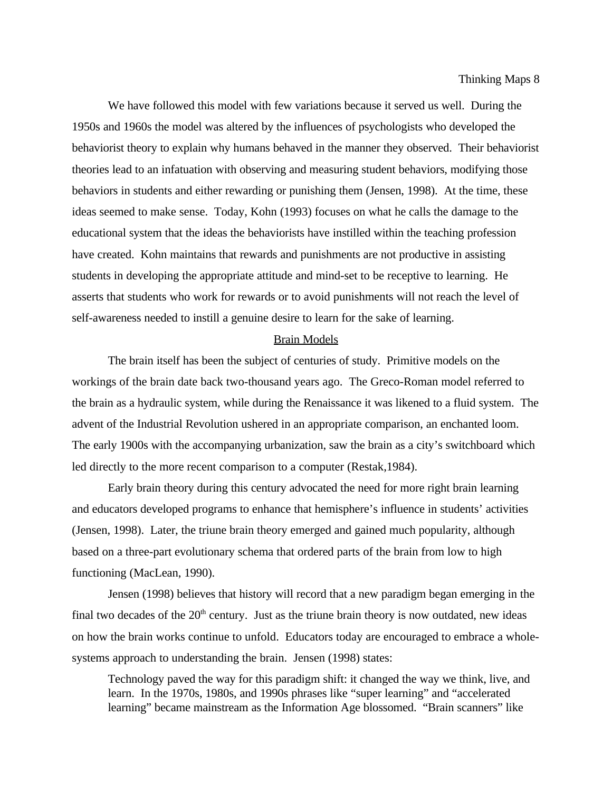We have followed this model with few variations because it served us well. During the 1950s and 1960s the model was altered by the influences of psychologists who developed the behaviorist theory to explain why humans behaved in the manner they observed. Their behaviorist theories lead to an infatuation with observing and measuring student behaviors, modifying those behaviors in students and either rewarding or punishing them (Jensen, 1998). At the time, these ideas seemed to make sense. Today, Kohn (1993) focuses on what he calls the damage to the educational system that the ideas the behaviorists have instilled within the teaching profession have created. Kohn maintains that rewards and punishments are not productive in assisting students in developing the appropriate attitude and mind-set to be receptive to learning. He asserts that students who work for rewards or to avoid punishments will not reach the level of self-awareness needed to instill a genuine desire to learn for the sake of learning.

#### Brain Models

The brain itself has been the subject of centuries of study. Primitive models on the workings of the brain date back two-thousand years ago. The Greco-Roman model referred to the brain as a hydraulic system, while during the Renaissance it was likened to a fluid system. The advent of the Industrial Revolution ushered in an appropriate comparison, an enchanted loom. The early 1900s with the accompanying urbanization, saw the brain as a city's switchboard which led directly to the more recent comparison to a computer (Restak,1984).

Early brain theory during this century advocated the need for more right brain learning and educators developed programs to enhance that hemisphere's influence in students' activities (Jensen, 1998). Later, the triune brain theory emerged and gained much popularity, although based on a three-part evolutionary schema that ordered parts of the brain from low to high functioning (MacLean, 1990).

Jensen (1998) believes that history will record that a new paradigm began emerging in the final two decades of the  $20<sup>th</sup>$  century. Just as the triune brain theory is now outdated, new ideas on how the brain works continue to unfold. Educators today are encouraged to embrace a wholesystems approach to understanding the brain. Jensen (1998) states:

Technology paved the way for this paradigm shift: it changed the way we think, live, and learn. In the 1970s, 1980s, and 1990s phrases like "super learning" and "accelerated learning" became mainstream as the Information Age blossomed. "Brain scanners" like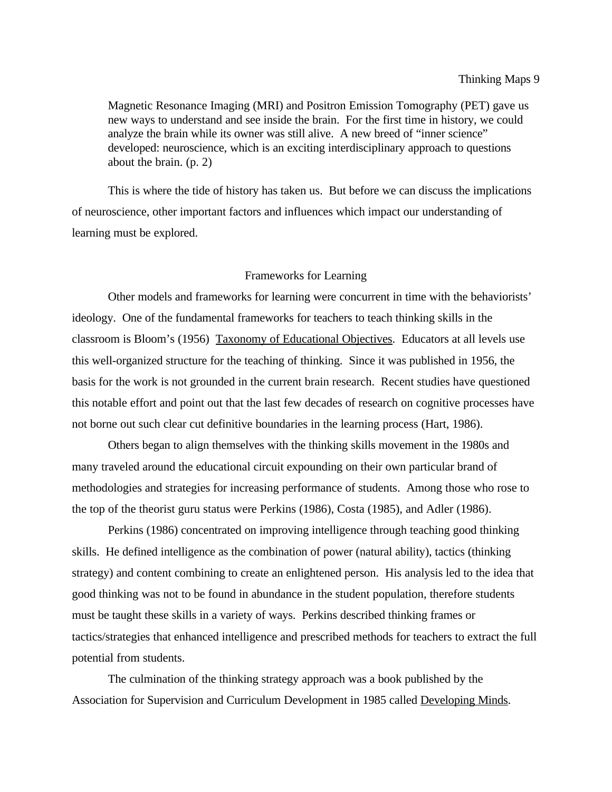Magnetic Resonance Imaging (MRI) and Positron Emission Tomography (PET) gave us new ways to understand and see inside the brain. For the first time in history, we could analyze the brain while its owner was still alive. A new breed of "inner science" developed: neuroscience, which is an exciting interdisciplinary approach to questions about the brain. (p. 2)

This is where the tide of history has taken us. But before we can discuss the implications of neuroscience, other important factors and influences which impact our understanding of learning must be explored.

### Frameworks for Learning

Other models and frameworks for learning were concurrent in time with the behaviorists' ideology. One of the fundamental frameworks for teachers to teach thinking skills in the classroom is Bloom's (1956) Taxonomy of Educational Objectives. Educators at all levels use this well-organized structure for the teaching of thinking. Since it was published in 1956, the basis for the work is not grounded in the current brain research. Recent studies have questioned this notable effort and point out that the last few decades of research on cognitive processes have not borne out such clear cut definitive boundaries in the learning process (Hart, 1986).

Others began to align themselves with the thinking skills movement in the 1980s and many traveled around the educational circuit expounding on their own particular brand of methodologies and strategies for increasing performance of students. Among those who rose to the top of the theorist guru status were Perkins (1986), Costa (1985), and Adler (1986).

Perkins (1986) concentrated on improving intelligence through teaching good thinking skills. He defined intelligence as the combination of power (natural ability), tactics (thinking strategy) and content combining to create an enlightened person. His analysis led to the idea that good thinking was not to be found in abundance in the student population, therefore students must be taught these skills in a variety of ways. Perkins described thinking frames or tactics/strategies that enhanced intelligence and prescribed methods for teachers to extract the full potential from students.

The culmination of the thinking strategy approach was a book published by the Association for Supervision and Curriculum Development in 1985 called Developing Minds.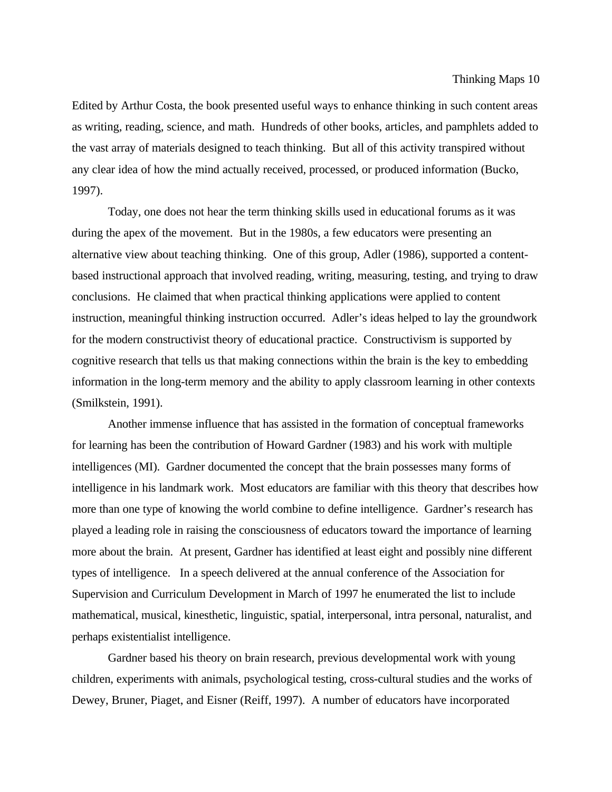Edited by Arthur Costa, the book presented useful ways to enhance thinking in such content areas as writing, reading, science, and math. Hundreds of other books, articles, and pamphlets added to the vast array of materials designed to teach thinking. But all of this activity transpired without any clear idea of how the mind actually received, processed, or produced information (Bucko, 1997).

Today, one does not hear the term thinking skills used in educational forums as it was during the apex of the movement. But in the 1980s, a few educators were presenting an alternative view about teaching thinking. One of this group, Adler (1986), supported a contentbased instructional approach that involved reading, writing, measuring, testing, and trying to draw conclusions. He claimed that when practical thinking applications were applied to content instruction, meaningful thinking instruction occurred. Adler's ideas helped to lay the groundwork for the modern constructivist theory of educational practice. Constructivism is supported by cognitive research that tells us that making connections within the brain is the key to embedding information in the long-term memory and the ability to apply classroom learning in other contexts (Smilkstein, 1991).

Another immense influence that has assisted in the formation of conceptual frameworks for learning has been the contribution of Howard Gardner (1983) and his work with multiple intelligences (MI). Gardner documented the concept that the brain possesses many forms of intelligence in his landmark work. Most educators are familiar with this theory that describes how more than one type of knowing the world combine to define intelligence. Gardner's research has played a leading role in raising the consciousness of educators toward the importance of learning more about the brain. At present, Gardner has identified at least eight and possibly nine different types of intelligence. In a speech delivered at the annual conference of the Association for Supervision and Curriculum Development in March of 1997 he enumerated the list to include mathematical, musical, kinesthetic, linguistic, spatial, interpersonal, intra personal, naturalist, and perhaps existentialist intelligence.

Gardner based his theory on brain research, previous developmental work with young children, experiments with animals, psychological testing, cross-cultural studies and the works of Dewey, Bruner, Piaget, and Eisner (Reiff, 1997). A number of educators have incorporated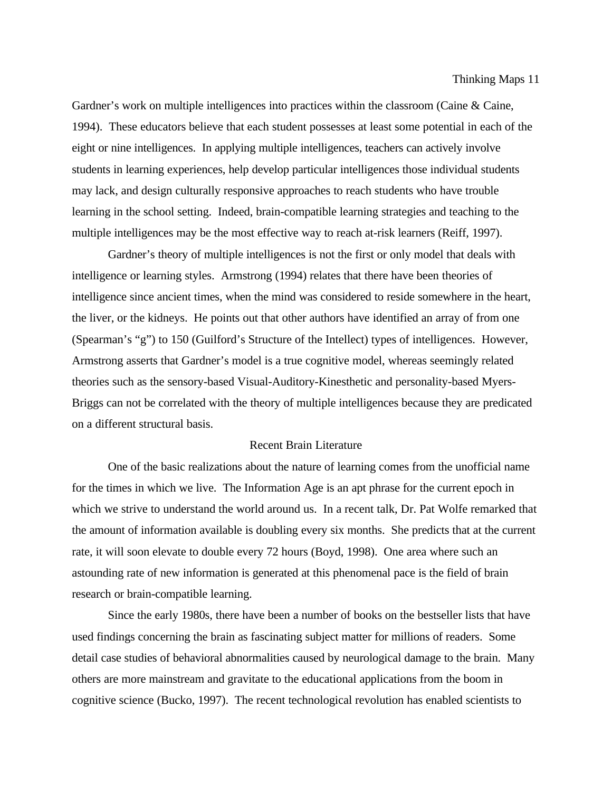Gardner's work on multiple intelligences into practices within the classroom (Caine & Caine, 1994). These educators believe that each student possesses at least some potential in each of the eight or nine intelligences. In applying multiple intelligences, teachers can actively involve students in learning experiences, help develop particular intelligences those individual students may lack, and design culturally responsive approaches to reach students who have trouble learning in the school setting. Indeed, brain-compatible learning strategies and teaching to the multiple intelligences may be the most effective way to reach at-risk learners (Reiff, 1997).

Gardner's theory of multiple intelligences is not the first or only model that deals with intelligence or learning styles. Armstrong (1994) relates that there have been theories of intelligence since ancient times, when the mind was considered to reside somewhere in the heart, the liver, or the kidneys. He points out that other authors have identified an array of from one (Spearman's "g") to 150 (Guilford's Structure of the Intellect) types of intelligences. However, Armstrong asserts that Gardner's model is a true cognitive model, whereas seemingly related theories such as the sensory-based Visual-Auditory-Kinesthetic and personality-based Myers-Briggs can not be correlated with the theory of multiple intelligences because they are predicated on a different structural basis.

# Recent Brain Literature

One of the basic realizations about the nature of learning comes from the unofficial name for the times in which we live. The Information Age is an apt phrase for the current epoch in which we strive to understand the world around us. In a recent talk, Dr. Pat Wolfe remarked that the amount of information available is doubling every six months. She predicts that at the current rate, it will soon elevate to double every 72 hours (Boyd, 1998). One area where such an astounding rate of new information is generated at this phenomenal pace is the field of brain research or brain-compatible learning.

Since the early 1980s, there have been a number of books on the bestseller lists that have used findings concerning the brain as fascinating subject matter for millions of readers. Some detail case studies of behavioral abnormalities caused by neurological damage to the brain. Many others are more mainstream and gravitate to the educational applications from the boom in cognitive science (Bucko, 1997). The recent technological revolution has enabled scientists to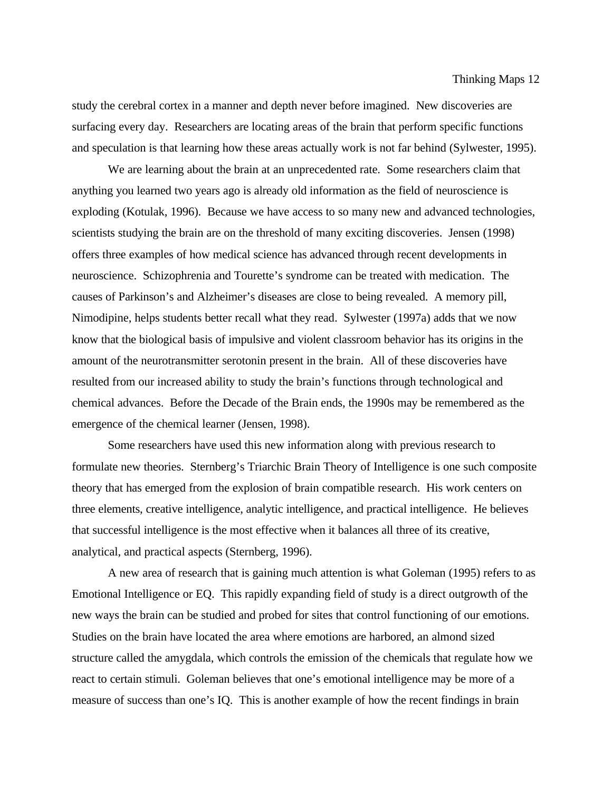study the cerebral cortex in a manner and depth never before imagined. New discoveries are surfacing every day. Researchers are locating areas of the brain that perform specific functions and speculation is that learning how these areas actually work is not far behind (Sylwester, 1995).

We are learning about the brain at an unprecedented rate. Some researchers claim that anything you learned two years ago is already old information as the field of neuroscience is exploding (Kotulak, 1996). Because we have access to so many new and advanced technologies, scientists studying the brain are on the threshold of many exciting discoveries. Jensen (1998) offers three examples of how medical science has advanced through recent developments in neuroscience. Schizophrenia and Tourette's syndrome can be treated with medication. The causes of Parkinson's and Alzheimer's diseases are close to being revealed. A memory pill, Nimodipine, helps students better recall what they read. Sylwester (1997a) adds that we now know that the biological basis of impulsive and violent classroom behavior has its origins in the amount of the neurotransmitter serotonin present in the brain. All of these discoveries have resulted from our increased ability to study the brain's functions through technological and chemical advances. Before the Decade of the Brain ends, the 1990s may be remembered as the emergence of the chemical learner (Jensen, 1998).

Some researchers have used this new information along with previous research to formulate new theories. Sternberg's Triarchic Brain Theory of Intelligence is one such composite theory that has emerged from the explosion of brain compatible research. His work centers on three elements, creative intelligence, analytic intelligence, and practical intelligence. He believes that successful intelligence is the most effective when it balances all three of its creative, analytical, and practical aspects (Sternberg, 1996).

A new area of research that is gaining much attention is what Goleman (1995) refers to as Emotional Intelligence or EQ. This rapidly expanding field of study is a direct outgrowth of the new ways the brain can be studied and probed for sites that control functioning of our emotions. Studies on the brain have located the area where emotions are harbored, an almond sized structure called the amygdala, which controls the emission of the chemicals that regulate how we react to certain stimuli. Goleman believes that one's emotional intelligence may be more of a measure of success than one's IQ. This is another example of how the recent findings in brain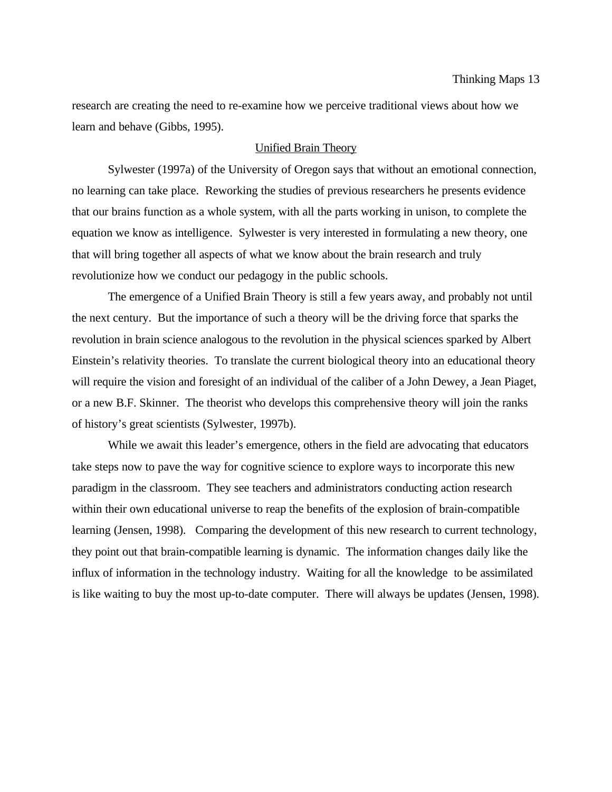research are creating the need to re-examine how we perceive traditional views about how we learn and behave (Gibbs, 1995).

## Unified Brain Theory

Sylwester (1997a) of the University of Oregon says that without an emotional connection, no learning can take place. Reworking the studies of previous researchers he presents evidence that our brains function as a whole system, with all the parts working in unison, to complete the equation we know as intelligence. Sylwester is very interested in formulating a new theory, one that will bring together all aspects of what we know about the brain research and truly revolutionize how we conduct our pedagogy in the public schools.

The emergence of a Unified Brain Theory is still a few years away, and probably not until the next century. But the importance of such a theory will be the driving force that sparks the revolution in brain science analogous to the revolution in the physical sciences sparked by Albert Einstein's relativity theories. To translate the current biological theory into an educational theory will require the vision and foresight of an individual of the caliber of a John Dewey, a Jean Piaget, or a new B.F. Skinner. The theorist who develops this comprehensive theory will join the ranks of history's great scientists (Sylwester, 1997b).

While we await this leader's emergence, others in the field are advocating that educators take steps now to pave the way for cognitive science to explore ways to incorporate this new paradigm in the classroom. They see teachers and administrators conducting action research within their own educational universe to reap the benefits of the explosion of brain-compatible learning (Jensen, 1998). Comparing the development of this new research to current technology, they point out that brain-compatible learning is dynamic. The information changes daily like the influx of information in the technology industry. Waiting for all the knowledge to be assimilated is like waiting to buy the most up-to-date computer. There will always be updates (Jensen, 1998).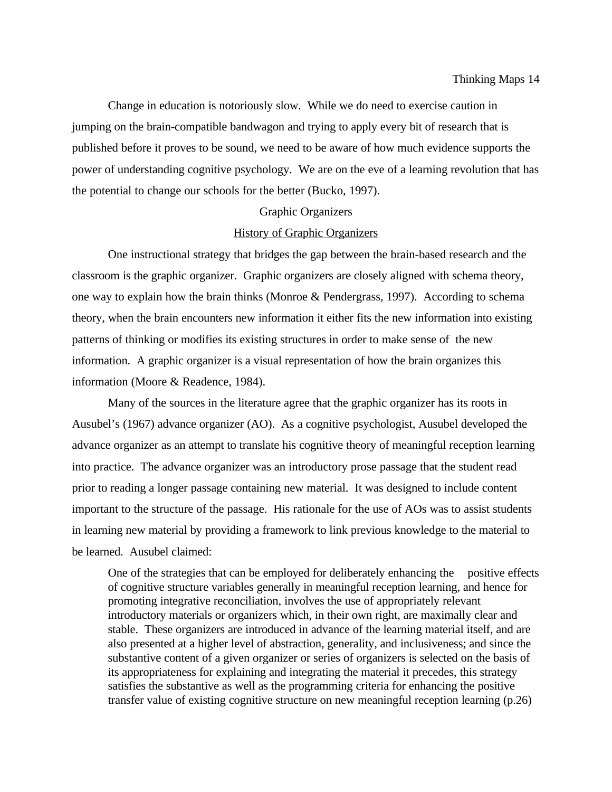Change in education is notoriously slow. While we do need to exercise caution in jumping on the brain-compatible bandwagon and trying to apply every bit of research that is published before it proves to be sound, we need to be aware of how much evidence supports the power of understanding cognitive psychology. We are on the eve of a learning revolution that has the potential to change our schools for the better (Bucko, 1997).

#### Graphic Organizers

## History of Graphic Organizers

One instructional strategy that bridges the gap between the brain-based research and the classroom is the graphic organizer. Graphic organizers are closely aligned with schema theory, one way to explain how the brain thinks (Monroe & Pendergrass, 1997). According to schema theory, when the brain encounters new information it either fits the new information into existing patterns of thinking or modifies its existing structures in order to make sense of the new information. A graphic organizer is a visual representation of how the brain organizes this information (Moore & Readence, 1984).

Many of the sources in the literature agree that the graphic organizer has its roots in Ausubel's (1967) advance organizer (AO). As a cognitive psychologist, Ausubel developed the advance organizer as an attempt to translate his cognitive theory of meaningful reception learning into practice. The advance organizer was an introductory prose passage that the student read prior to reading a longer passage containing new material. It was designed to include content important to the structure of the passage. His rationale for the use of AOs was to assist students in learning new material by providing a framework to link previous knowledge to the material to be learned. Ausubel claimed:

One of the strategies that can be employed for deliberately enhancing the positive effects of cognitive structure variables generally in meaningful reception learning, and hence for promoting integrative reconciliation, involves the use of appropriately relevant introductory materials or organizers which, in their own right, are maximally clear and stable. These organizers are introduced in advance of the learning material itself, and are also presented at a higher level of abstraction, generality, and inclusiveness; and since the substantive content of a given organizer or series of organizers is selected on the basis of its appropriateness for explaining and integrating the material it precedes, this strategy satisfies the substantive as well as the programming criteria for enhancing the positive transfer value of existing cognitive structure on new meaningful reception learning (p.26)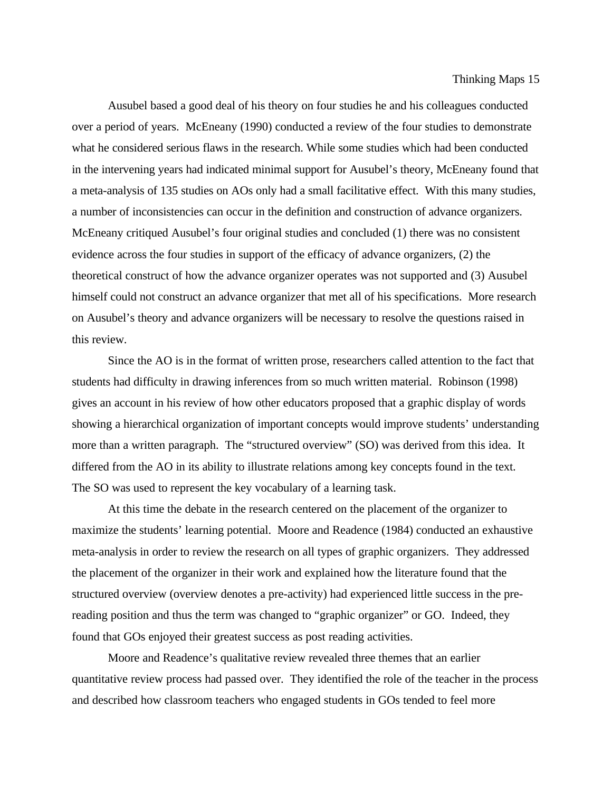Ausubel based a good deal of his theory on four studies he and his colleagues conducted over a period of years. McEneany (1990) conducted a review of the four studies to demonstrate what he considered serious flaws in the research. While some studies which had been conducted in the intervening years had indicated minimal support for Ausubel's theory, McEneany found that a meta-analysis of 135 studies on AOs only had a small facilitative effect. With this many studies, a number of inconsistencies can occur in the definition and construction of advance organizers. McEneany critiqued Ausubel's four original studies and concluded (1) there was no consistent evidence across the four studies in support of the efficacy of advance organizers, (2) the theoretical construct of how the advance organizer operates was not supported and (3) Ausubel himself could not construct an advance organizer that met all of his specifications. More research on Ausubel's theory and advance organizers will be necessary to resolve the questions raised in this review.

Since the AO is in the format of written prose, researchers called attention to the fact that students had difficulty in drawing inferences from so much written material. Robinson (1998) gives an account in his review of how other educators proposed that a graphic display of words showing a hierarchical organization of important concepts would improve students' understanding more than a written paragraph. The "structured overview" (SO) was derived from this idea. It differed from the AO in its ability to illustrate relations among key concepts found in the text. The SO was used to represent the key vocabulary of a learning task.

At this time the debate in the research centered on the placement of the organizer to maximize the students' learning potential. Moore and Readence (1984) conducted an exhaustive meta-analysis in order to review the research on all types of graphic organizers. They addressed the placement of the organizer in their work and explained how the literature found that the structured overview (overview denotes a pre-activity) had experienced little success in the prereading position and thus the term was changed to "graphic organizer" or GO. Indeed, they found that GOs enjoyed their greatest success as post reading activities.

Moore and Readence's qualitative review revealed three themes that an earlier quantitative review process had passed over. They identified the role of the teacher in the process and described how classroom teachers who engaged students in GOs tended to feel more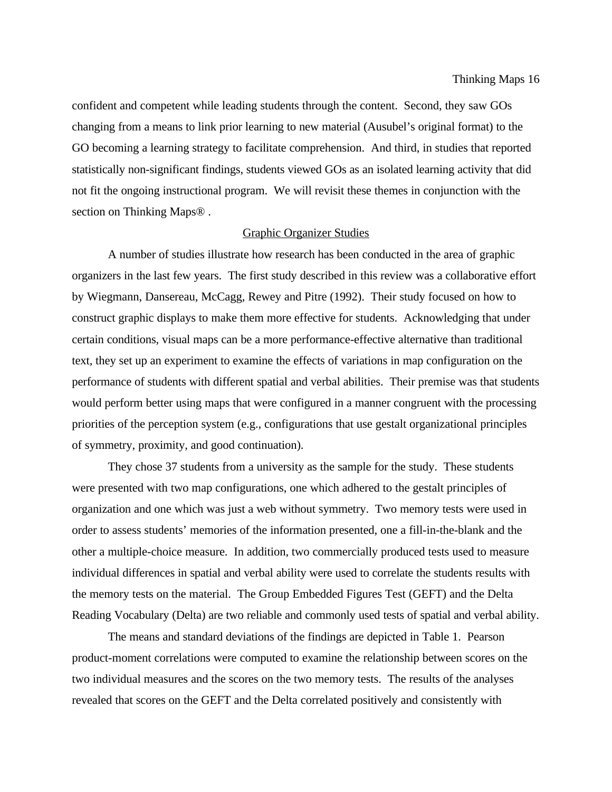confident and competent while leading students through the content. Second, they saw GOs changing from a means to link prior learning to new material (Ausubel's original format) to the GO becoming a learning strategy to facilitate comprehension. And third, in studies that reported statistically non-significant findings, students viewed GOs as an isolated learning activity that did not fit the ongoing instructional program. We will revisit these themes in conjunction with the section on Thinking Maps® .

#### Graphic Organizer Studies

A number of studies illustrate how research has been conducted in the area of graphic organizers in the last few years. The first study described in this review was a collaborative effort by Wiegmann, Dansereau, McCagg, Rewey and Pitre (1992). Their study focused on how to construct graphic displays to make them more effective for students. Acknowledging that under certain conditions, visual maps can be a more performance-effective alternative than traditional text, they set up an experiment to examine the effects of variations in map configuration on the performance of students with different spatial and verbal abilities. Their premise was that students would perform better using maps that were configured in a manner congruent with the processing priorities of the perception system (e.g., configurations that use gestalt organizational principles of symmetry, proximity, and good continuation).

They chose 37 students from a university as the sample for the study. These students were presented with two map configurations, one which adhered to the gestalt principles of organization and one which was just a web without symmetry. Two memory tests were used in order to assess students' memories of the information presented, one a fill-in-the-blank and the other a multiple-choice measure. In addition, two commercially produced tests used to measure individual differences in spatial and verbal ability were used to correlate the students results with the memory tests on the material. The Group Embedded Figures Test (GEFT) and the Delta Reading Vocabulary (Delta) are two reliable and commonly used tests of spatial and verbal ability.

The means and standard deviations of the findings are depicted in Table 1. Pearson product-moment correlations were computed to examine the relationship between scores on the two individual measures and the scores on the two memory tests. The results of the analyses revealed that scores on the GEFT and the Delta correlated positively and consistently with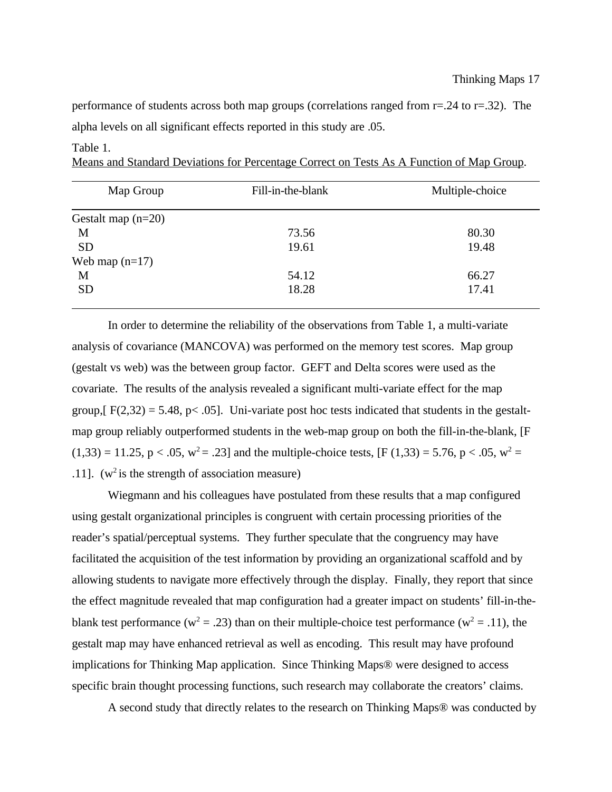performance of students across both map groups (correlations ranged from r=.24 to r=.32). The alpha levels on all significant effects reported in this study are .05.

| Map Group            | Fill-in-the-blank | Multiple-choice |
|----------------------|-------------------|-----------------|
| Gestalt map $(n=20)$ |                   |                 |
| M                    | 73.56             | 80.30           |
| <b>SD</b>            | 19.61             | 19.48           |
| Web map $(n=17)$     |                   |                 |
| M                    | 54.12             | 66.27           |
| <b>SD</b>            | 18.28             | 17.41           |

#### Table 1.

Means and Standard Deviations for Percentage Correct on Tests As A Function of Map Group.

In order to determine the reliability of the observations from Table 1, a multi-variate analysis of covariance (MANCOVA) was performed on the memory test scores. Map group (gestalt vs web) was the between group factor. GEFT and Delta scores were used as the covariate. The results of the analysis revealed a significant multi-variate effect for the map group,  $F(2,32) = 5.48$ , p< .05]. Uni-variate post hoc tests indicated that students in the gestaltmap group reliably outperformed students in the web-map group on both the fill-in-the-blank, [F  $(1,33) = 11.25$ , p < .05, w<sup>2</sup> = .23] and the multiple-choice tests, [F (1,33) = 5.76, p < .05, w<sup>2</sup> = .11]. ( $w^2$  is the strength of association measure)

Wiegmann and his colleagues have postulated from these results that a map configured using gestalt organizational principles is congruent with certain processing priorities of the reader's spatial/perceptual systems. They further speculate that the congruency may have facilitated the acquisition of the test information by providing an organizational scaffold and by allowing students to navigate more effectively through the display. Finally, they report that since the effect magnitude revealed that map configuration had a greater impact on students' fill-in-theblank test performance (w<sup>2</sup> = .23) than on their multiple-choice test performance (w<sup>2</sup> = .11), the gestalt map may have enhanced retrieval as well as encoding. This result may have profound implications for Thinking Map application. Since Thinking Maps® were designed to access specific brain thought processing functions, such research may collaborate the creators' claims.

A second study that directly relates to the research on Thinking Maps® was conducted by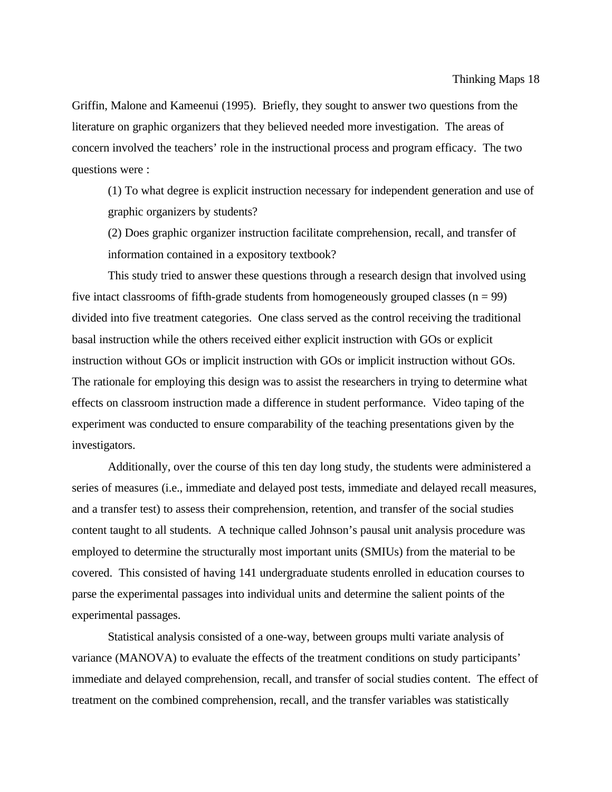Griffin, Malone and Kameenui (1995). Briefly, they sought to answer two questions from the literature on graphic organizers that they believed needed more investigation. The areas of concern involved the teachers' role in the instructional process and program efficacy. The two questions were :

(1) To what degree is explicit instruction necessary for independent generation and use of graphic organizers by students?

(2) Does graphic organizer instruction facilitate comprehension, recall, and transfer of information contained in a expository textbook?

This study tried to answer these questions through a research design that involved using five intact classrooms of fifth-grade students from homogeneously grouped classes  $(n = 99)$ divided into five treatment categories. One class served as the control receiving the traditional basal instruction while the others received either explicit instruction with GOs or explicit instruction without GOs or implicit instruction with GOs or implicit instruction without GOs. The rationale for employing this design was to assist the researchers in trying to determine what effects on classroom instruction made a difference in student performance. Video taping of the experiment was conducted to ensure comparability of the teaching presentations given by the investigators.

Additionally, over the course of this ten day long study, the students were administered a series of measures (i.e., immediate and delayed post tests, immediate and delayed recall measures, and a transfer test) to assess their comprehension, retention, and transfer of the social studies content taught to all students. A technique called Johnson's pausal unit analysis procedure was employed to determine the structurally most important units (SMIUs) from the material to be covered. This consisted of having 141 undergraduate students enrolled in education courses to parse the experimental passages into individual units and determine the salient points of the experimental passages.

Statistical analysis consisted of a one-way, between groups multi variate analysis of variance (MANOVA) to evaluate the effects of the treatment conditions on study participants' immediate and delayed comprehension, recall, and transfer of social studies content. The effect of treatment on the combined comprehension, recall, and the transfer variables was statistically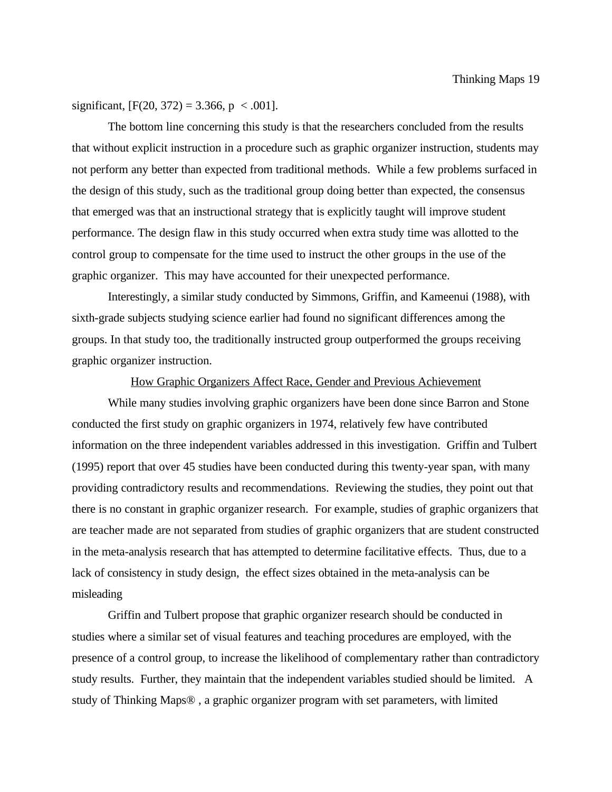significant,  $[F(20, 372) = 3.366, p < .001]$ .

The bottom line concerning this study is that the researchers concluded from the results that without explicit instruction in a procedure such as graphic organizer instruction, students may not perform any better than expected from traditional methods. While a few problems surfaced in the design of this study, such as the traditional group doing better than expected, the consensus that emerged was that an instructional strategy that is explicitly taught will improve student performance. The design flaw in this study occurred when extra study time was allotted to the control group to compensate for the time used to instruct the other groups in the use of the graphic organizer. This may have accounted for their unexpected performance.

Interestingly, a similar study conducted by Simmons, Griffin, and Kameenui (1988), with sixth-grade subjects studying science earlier had found no significant differences among the groups. In that study too, the traditionally instructed group outperformed the groups receiving graphic organizer instruction.

## How Graphic Organizers Affect Race, Gender and Previous Achievement

While many studies involving graphic organizers have been done since Barron and Stone conducted the first study on graphic organizers in 1974, relatively few have contributed information on the three independent variables addressed in this investigation. Griffin and Tulbert (1995) report that over 45 studies have been conducted during this twenty-year span, with many providing contradictory results and recommendations. Reviewing the studies, they point out that there is no constant in graphic organizer research. For example, studies of graphic organizers that are teacher made are not separated from studies of graphic organizers that are student constructed in the meta-analysis research that has attempted to determine facilitative effects. Thus, due to a lack of consistency in study design, the effect sizes obtained in the meta-analysis can be misleading

Griffin and Tulbert propose that graphic organizer research should be conducted in studies where a similar set of visual features and teaching procedures are employed, with the presence of a control group, to increase the likelihood of complementary rather than contradictory study results. Further, they maintain that the independent variables studied should be limited. A study of Thinking Maps® , a graphic organizer program with set parameters, with limited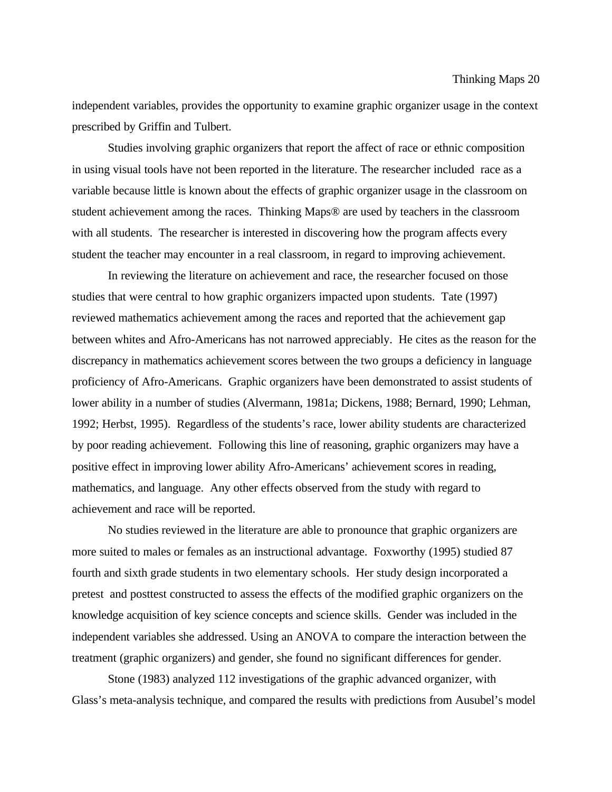independent variables, provides the opportunity to examine graphic organizer usage in the context prescribed by Griffin and Tulbert.

Studies involving graphic organizers that report the affect of race or ethnic composition in using visual tools have not been reported in the literature. The researcher included race as a variable because little is known about the effects of graphic organizer usage in the classroom on student achievement among the races. Thinking Maps® are used by teachers in the classroom with all students. The researcher is interested in discovering how the program affects every student the teacher may encounter in a real classroom, in regard to improving achievement.

In reviewing the literature on achievement and race, the researcher focused on those studies that were central to how graphic organizers impacted upon students. Tate (1997) reviewed mathematics achievement among the races and reported that the achievement gap between whites and Afro-Americans has not narrowed appreciably. He cites as the reason for the discrepancy in mathematics achievement scores between the two groups a deficiency in language proficiency of Afro-Americans. Graphic organizers have been demonstrated to assist students of lower ability in a number of studies (Alvermann, 1981a; Dickens, 1988; Bernard, 1990; Lehman, 1992; Herbst, 1995). Regardless of the students's race, lower ability students are characterized by poor reading achievement. Following this line of reasoning, graphic organizers may have a positive effect in improving lower ability Afro-Americans' achievement scores in reading, mathematics, and language. Any other effects observed from the study with regard to achievement and race will be reported.

No studies reviewed in the literature are able to pronounce that graphic organizers are more suited to males or females as an instructional advantage. Foxworthy (1995) studied 87 fourth and sixth grade students in two elementary schools. Her study design incorporated a pretest and posttest constructed to assess the effects of the modified graphic organizers on the knowledge acquisition of key science concepts and science skills. Gender was included in the independent variables she addressed. Using an ANOVA to compare the interaction between the treatment (graphic organizers) and gender, she found no significant differences for gender.

Stone (1983) analyzed 112 investigations of the graphic advanced organizer, with Glass's meta-analysis technique, and compared the results with predictions from Ausubel's model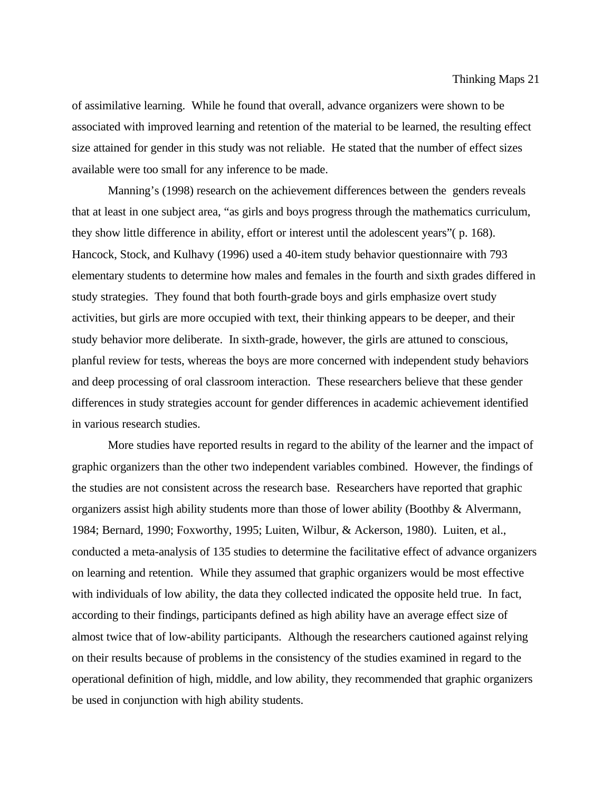of assimilative learning. While he found that overall, advance organizers were shown to be associated with improved learning and retention of the material to be learned, the resulting effect size attained for gender in this study was not reliable. He stated that the number of effect sizes available were too small for any inference to be made.

Manning's (1998) research on the achievement differences between the genders reveals that at least in one subject area, "as girls and boys progress through the mathematics curriculum, they show little difference in ability, effort or interest until the adolescent years"( p. 168). Hancock, Stock, and Kulhavy (1996) used a 40-item study behavior questionnaire with 793 elementary students to determine how males and females in the fourth and sixth grades differed in study strategies. They found that both fourth-grade boys and girls emphasize overt study activities, but girls are more occupied with text, their thinking appears to be deeper, and their study behavior more deliberate. In sixth-grade, however, the girls are attuned to conscious, planful review for tests, whereas the boys are more concerned with independent study behaviors and deep processing of oral classroom interaction. These researchers believe that these gender differences in study strategies account for gender differences in academic achievement identified in various research studies.

More studies have reported results in regard to the ability of the learner and the impact of graphic organizers than the other two independent variables combined. However, the findings of the studies are not consistent across the research base. Researchers have reported that graphic organizers assist high ability students more than those of lower ability (Boothby & Alvermann, 1984; Bernard, 1990; Foxworthy, 1995; Luiten, Wilbur, & Ackerson, 1980). Luiten, et al., conducted a meta-analysis of 135 studies to determine the facilitative effect of advance organizers on learning and retention. While they assumed that graphic organizers would be most effective with individuals of low ability, the data they collected indicated the opposite held true. In fact, according to their findings, participants defined as high ability have an average effect size of almost twice that of low-ability participants. Although the researchers cautioned against relying on their results because of problems in the consistency of the studies examined in regard to the operational definition of high, middle, and low ability, they recommended that graphic organizers be used in conjunction with high ability students.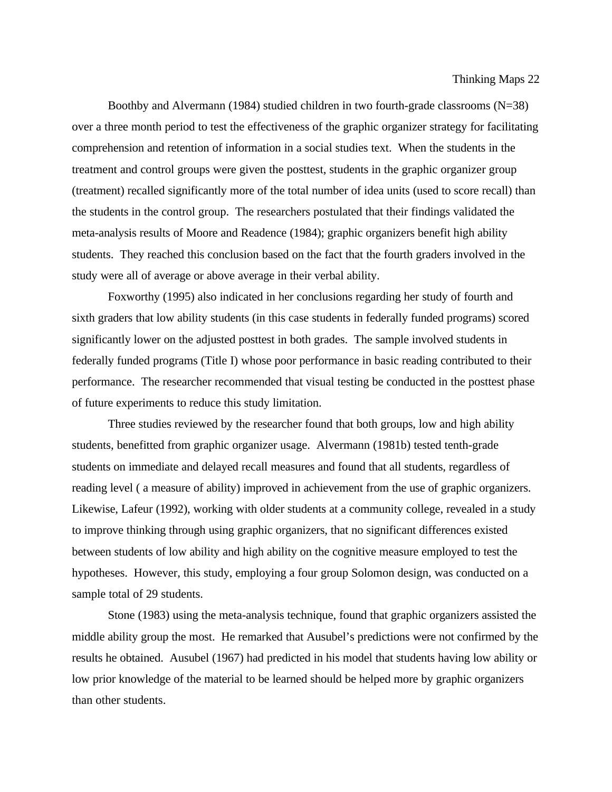Boothby and Alvermann (1984) studied children in two fourth-grade classrooms (N=38) over a three month period to test the effectiveness of the graphic organizer strategy for facilitating comprehension and retention of information in a social studies text. When the students in the treatment and control groups were given the posttest, students in the graphic organizer group (treatment) recalled significantly more of the total number of idea units (used to score recall) than the students in the control group. The researchers postulated that their findings validated the meta-analysis results of Moore and Readence (1984); graphic organizers benefit high ability students. They reached this conclusion based on the fact that the fourth graders involved in the study were all of average or above average in their verbal ability.

Foxworthy (1995) also indicated in her conclusions regarding her study of fourth and sixth graders that low ability students (in this case students in federally funded programs) scored significantly lower on the adjusted posttest in both grades. The sample involved students in federally funded programs (Title I) whose poor performance in basic reading contributed to their performance. The researcher recommended that visual testing be conducted in the posttest phase of future experiments to reduce this study limitation.

Three studies reviewed by the researcher found that both groups, low and high ability students, benefitted from graphic organizer usage. Alvermann (1981b) tested tenth-grade students on immediate and delayed recall measures and found that all students, regardless of reading level ( a measure of ability) improved in achievement from the use of graphic organizers. Likewise, Lafeur (1992), working with older students at a community college, revealed in a study to improve thinking through using graphic organizers, that no significant differences existed between students of low ability and high ability on the cognitive measure employed to test the hypotheses. However, this study, employing a four group Solomon design, was conducted on a sample total of 29 students.

Stone (1983) using the meta-analysis technique, found that graphic organizers assisted the middle ability group the most. He remarked that Ausubel's predictions were not confirmed by the results he obtained. Ausubel (1967) had predicted in his model that students having low ability or low prior knowledge of the material to be learned should be helped more by graphic organizers than other students.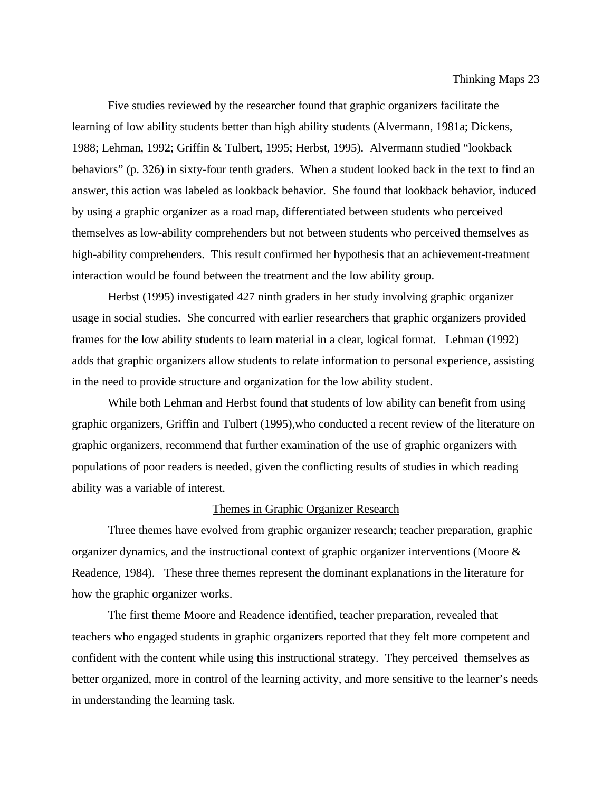Five studies reviewed by the researcher found that graphic organizers facilitate the learning of low ability students better than high ability students (Alvermann, 1981a; Dickens, 1988; Lehman, 1992; Griffin & Tulbert, 1995; Herbst, 1995). Alvermann studied "lookback behaviors" (p. 326) in sixty-four tenth graders. When a student looked back in the text to find an answer, this action was labeled as lookback behavior. She found that lookback behavior, induced by using a graphic organizer as a road map, differentiated between students who perceived themselves as low-ability comprehenders but not between students who perceived themselves as high-ability comprehenders. This result confirmed her hypothesis that an achievement-treatment interaction would be found between the treatment and the low ability group.

Herbst (1995) investigated 427 ninth graders in her study involving graphic organizer usage in social studies. She concurred with earlier researchers that graphic organizers provided frames for the low ability students to learn material in a clear, logical format. Lehman (1992) adds that graphic organizers allow students to relate information to personal experience, assisting in the need to provide structure and organization for the low ability student.

While both Lehman and Herbst found that students of low ability can benefit from using graphic organizers, Griffin and Tulbert (1995),who conducted a recent review of the literature on graphic organizers, recommend that further examination of the use of graphic organizers with populations of poor readers is needed, given the conflicting results of studies in which reading ability was a variable of interest.

#### Themes in Graphic Organizer Research

Three themes have evolved from graphic organizer research; teacher preparation, graphic organizer dynamics, and the instructional context of graphic organizer interventions (Moore & Readence, 1984). These three themes represent the dominant explanations in the literature for how the graphic organizer works.

The first theme Moore and Readence identified, teacher preparation, revealed that teachers who engaged students in graphic organizers reported that they felt more competent and confident with the content while using this instructional strategy. They perceived themselves as better organized, more in control of the learning activity, and more sensitive to the learner's needs in understanding the learning task.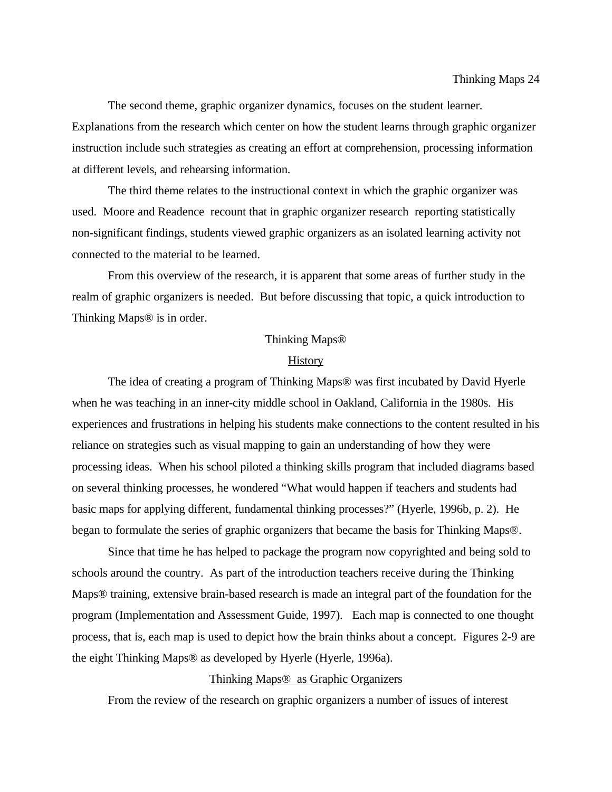The second theme, graphic organizer dynamics, focuses on the student learner. Explanations from the research which center on how the student learns through graphic organizer instruction include such strategies as creating an effort at comprehension, processing information at different levels, and rehearsing information.

The third theme relates to the instructional context in which the graphic organizer was used. Moore and Readence recount that in graphic organizer research reporting statistically non-significant findings, students viewed graphic organizers as an isolated learning activity not connected to the material to be learned.

From this overview of the research, it is apparent that some areas of further study in the realm of graphic organizers is needed. But before discussing that topic, a quick introduction to Thinking Maps® is in order.

#### Thinking Maps®

#### **History**

The idea of creating a program of Thinking Maps® was first incubated by David Hyerle when he was teaching in an inner-city middle school in Oakland, California in the 1980s. His experiences and frustrations in helping his students make connections to the content resulted in his reliance on strategies such as visual mapping to gain an understanding of how they were processing ideas. When his school piloted a thinking skills program that included diagrams based on several thinking processes, he wondered "What would happen if teachers and students had basic maps for applying different, fundamental thinking processes?" (Hyerle, 1996b, p. 2). He began to formulate the series of graphic organizers that became the basis for Thinking Maps®.

Since that time he has helped to package the program now copyrighted and being sold to schools around the country. As part of the introduction teachers receive during the Thinking Maps® training, extensive brain-based research is made an integral part of the foundation for the program (Implementation and Assessment Guide, 1997). Each map is connected to one thought process, that is, each map is used to depict how the brain thinks about a concept. Figures 2-9 are the eight Thinking Maps® as developed by Hyerle (Hyerle, 1996a).

#### Thinking Maps® as Graphic Organizers

From the review of the research on graphic organizers a number of issues of interest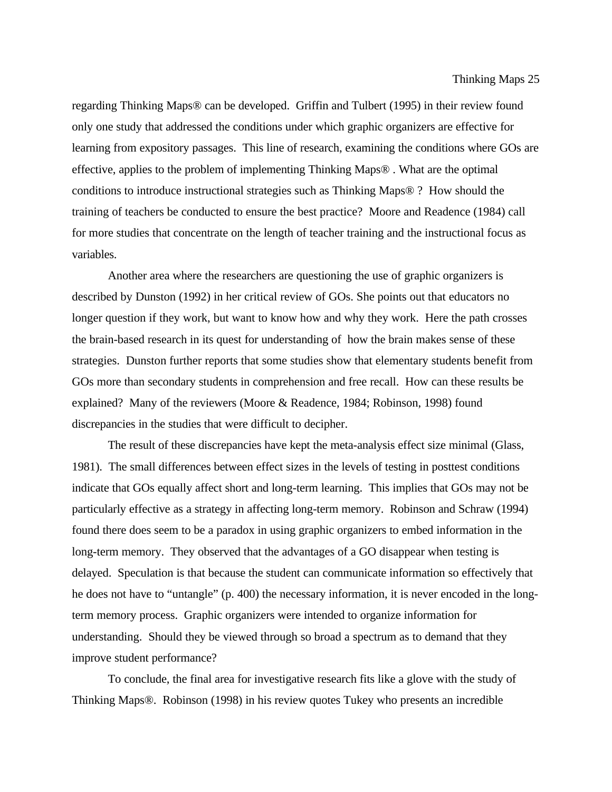regarding Thinking Maps® can be developed. Griffin and Tulbert (1995) in their review found only one study that addressed the conditions under which graphic organizers are effective for learning from expository passages. This line of research, examining the conditions where GOs are effective, applies to the problem of implementing Thinking Maps® . What are the optimal conditions to introduce instructional strategies such as Thinking Maps® ? How should the training of teachers be conducted to ensure the best practice? Moore and Readence (1984) call for more studies that concentrate on the length of teacher training and the instructional focus as variables.

Another area where the researchers are questioning the use of graphic organizers is described by Dunston (1992) in her critical review of GOs. She points out that educators no longer question if they work, but want to know how and why they work. Here the path crosses the brain-based research in its quest for understanding of how the brain makes sense of these strategies. Dunston further reports that some studies show that elementary students benefit from GOs more than secondary students in comprehension and free recall. How can these results be explained? Many of the reviewers (Moore & Readence, 1984; Robinson, 1998) found discrepancies in the studies that were difficult to decipher.

The result of these discrepancies have kept the meta-analysis effect size minimal (Glass, 1981). The small differences between effect sizes in the levels of testing in posttest conditions indicate that GOs equally affect short and long-term learning. This implies that GOs may not be particularly effective as a strategy in affecting long-term memory. Robinson and Schraw (1994) found there does seem to be a paradox in using graphic organizers to embed information in the long-term memory. They observed that the advantages of a GO disappear when testing is delayed. Speculation is that because the student can communicate information so effectively that he does not have to "untangle" (p. 400) the necessary information, it is never encoded in the longterm memory process. Graphic organizers were intended to organize information for understanding. Should they be viewed through so broad a spectrum as to demand that they improve student performance?

To conclude, the final area for investigative research fits like a glove with the study of Thinking Maps®. Robinson (1998) in his review quotes Tukey who presents an incredible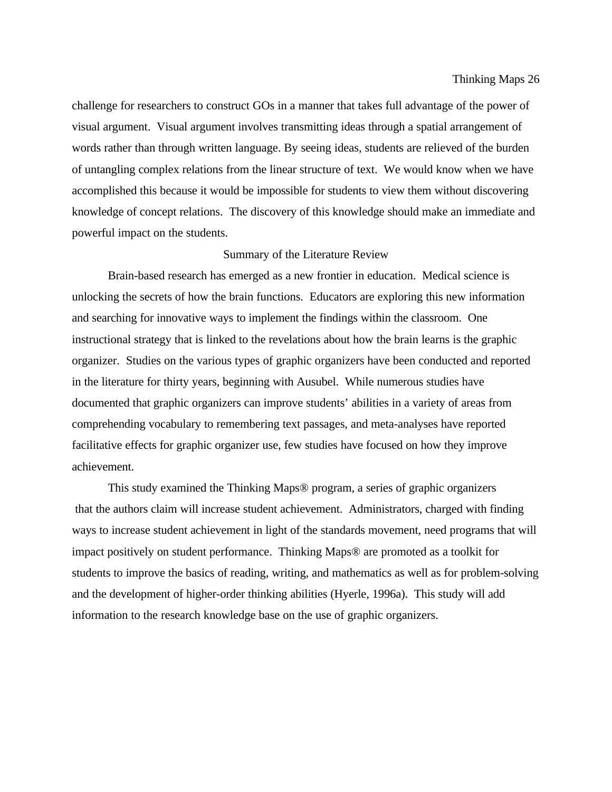challenge for researchers to construct GOs in a manner that takes full advantage of the power of visual argument. Visual argument involves transmitting ideas through a spatial arrangement of words rather than through written language. By seeing ideas, students are relieved of the burden of untangling complex relations from the linear structure of text. We would know when we have accomplished this because it would be impossible for students to view them without discovering knowledge of concept relations. The discovery of this knowledge should make an immediate and powerful impact on the students.

## Summary of the Literature Review

Brain-based research has emerged as a new frontier in education. Medical science is unlocking the secrets of how the brain functions. Educators are exploring this new information and searching for innovative ways to implement the findings within the classroom. One instructional strategy that is linked to the revelations about how the brain learns is the graphic organizer. Studies on the various types of graphic organizers have been conducted and reported in the literature for thirty years, beginning with Ausubel. While numerous studies have documented that graphic organizers can improve students' abilities in a variety of areas from comprehending vocabulary to remembering text passages, and meta-analyses have reported facilitative effects for graphic organizer use, few studies have focused on how they improve achievement.

This study examined the Thinking Maps® program, a series of graphic organizers that the authors claim will increase student achievement. Administrators, charged with finding ways to increase student achievement in light of the standards movement, need programs that will impact positively on student performance. Thinking Maps® are promoted as a toolkit for students to improve the basics of reading, writing, and mathematics as well as for problem-solving and the development of higher-order thinking abilities (Hyerle, 1996a). This study will add information to the research knowledge base on the use of graphic organizers.